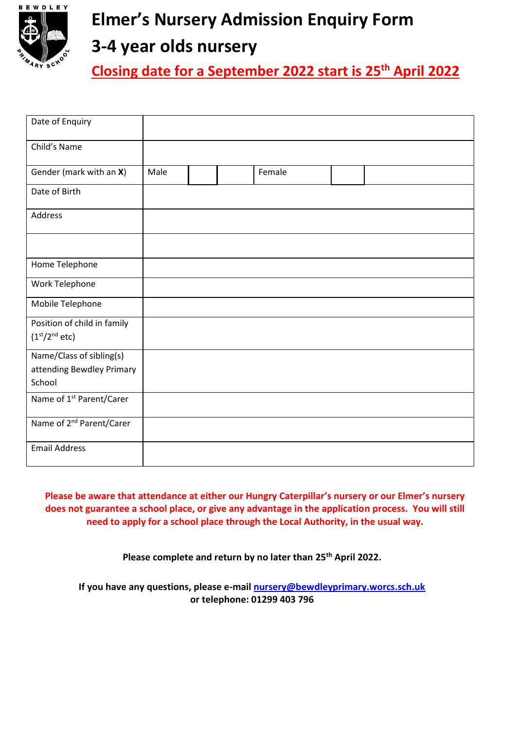

## **Elmer's Nursery Admission Enquiry Form**

## **3-4 year olds nursery**

**Closing date for a September 2022 start is 25th April 2022**

| Date of Enquiry                                                       |      |  |        |  |
|-----------------------------------------------------------------------|------|--|--------|--|
| Child's Name                                                          |      |  |        |  |
| Gender (mark with an X)                                               | Male |  | Female |  |
| Date of Birth                                                         |      |  |        |  |
| Address                                                               |      |  |        |  |
|                                                                       |      |  |        |  |
| Home Telephone                                                        |      |  |        |  |
| Work Telephone                                                        |      |  |        |  |
| Mobile Telephone                                                      |      |  |        |  |
| Position of child in family<br>(1 <sup>st</sup> /2 <sup>nd</sup> etc) |      |  |        |  |
| Name/Class of sibling(s)<br>attending Bewdley Primary<br>School       |      |  |        |  |
| Name of 1 <sup>st</sup> Parent/Carer                                  |      |  |        |  |
| Name of 2 <sup>nd</sup> Parent/Carer                                  |      |  |        |  |
| <b>Email Address</b>                                                  |      |  |        |  |

**Please be aware that attendance at either our Hungry Caterpillar's nursery or our Elmer's nursery does not guarantee a school place, or give any advantage in the application process. You will still need to apply for a school place through the Local Authority, in the usual way.**

**Please complete and return by no later than 25th April 2022.**

**If you have any questions, please e-mai[l nursery@bewdleyprimary.worcs.sch.uk](mailto:nursery@bewdleyprimary.worcs.sch.uk) or telephone: 01299 403 796**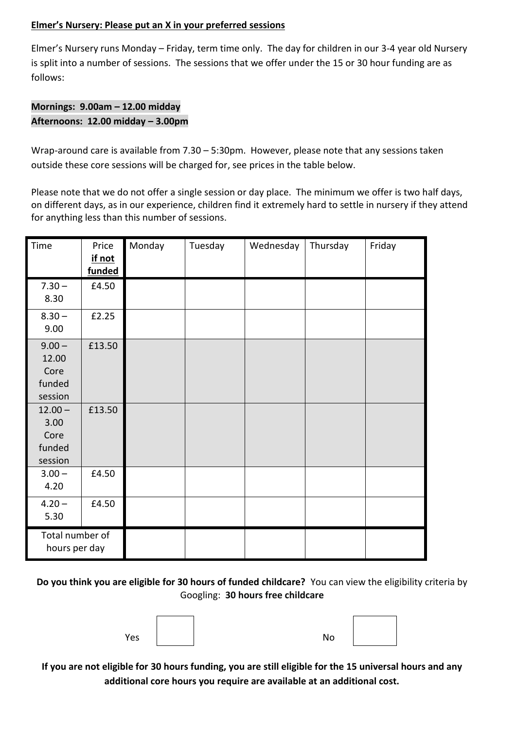#### **Elmer's Nursery: Please put an X in your preferred sessions**

Elmer's Nursery runs Monday – Friday, term time only. The day for children in our 3-4 year old Nursery is split into a number of sessions. The sessions that we offer under the 15 or 30 hour funding are as follows:

### **Mornings: 9.00am – 12.00 midday Afternoons: 12.00 midday – 3.00pm**

Wrap-around care is available from 7.30 – 5:30pm. However, please note that any sessions taken outside these core sessions will be charged for, see prices in the table below.

Please note that we do not offer a single session or day place. The minimum we offer is two half days, on different days, as in our experience, children find it extremely hard to settle in nursery if they attend for anything less than this number of sessions.

| Time                                           | Price<br>if not<br>funded | Monday | Tuesday | Wednesday | Thursday | Friday |
|------------------------------------------------|---------------------------|--------|---------|-----------|----------|--------|
| $7.30 -$<br>8.30                               | £4.50                     |        |         |           |          |        |
| $8.30 -$<br>9.00                               | £2.25                     |        |         |           |          |        |
| $9.00 -$<br>12.00<br>Core<br>funded<br>session | £13.50                    |        |         |           |          |        |
| $12.00 -$<br>3.00<br>Core<br>funded<br>session | £13.50                    |        |         |           |          |        |
| $3.00 -$<br>4.20                               | £4.50                     |        |         |           |          |        |
| $4.20 -$<br>5.30                               | £4.50                     |        |         |           |          |        |
| Total number of<br>hours per day               |                           |        |         |           |          |        |

**Do you think you are eligible for 30 hours of funded childcare?** You can view the eligibility criteria by Googling: **30 hours free childcare**

Yes and the set of the set of the set of the set of the set of the set of the set of the set of the set of the

**If you are not eligible for 30 hours funding, you are still eligible for the 15 universal hours and any additional core hours you require are available at an additional cost.**